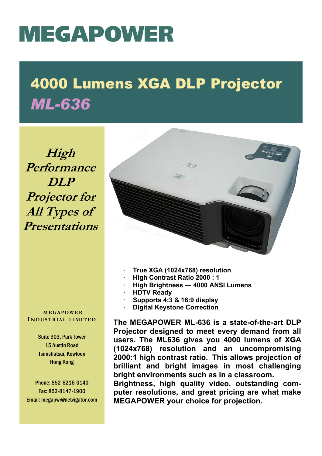## **MEGAPOWER**

## 4000 Lumens XGA DLP Projector *ML-636*

**High Performance DLP Projector for All Types of Presentations**

**MEGAPOWER INDUSTRIAL LIMITED**

> Suite 903, Park Tower 15 Austin Road Tsimshatsui, Kowloon Hong Kong

Phone: 852-6216-0140 Fax: 852-8147-1900 Email: megapwr@netvigator.com



- **· True XGA (1024x768) resolution**
- **· High Contrast Ratio 2000 : 1**
- **· High Brightness 4000 ANSI Lumens**
- **· HDTV Ready**
- **· Supports 4:3 & 16:9 display**
- **Digital Keystone Correction**

**The MEGAPOWER ML-636 is a state-of-the-art DLP Projector designed to meet every demand from all users. The ML636 gives you 4000 lumens of XGA (1024x768) resolution and an uncompromising 2000:1 high contrast ratio. This allows projection of brilliant and bright images in most challenging bright environments such as in a classroom.** 

**Brightness, high quality video, outstanding computer resolutions, and great pricing are what make MEGAPOWER your choice for projection.**